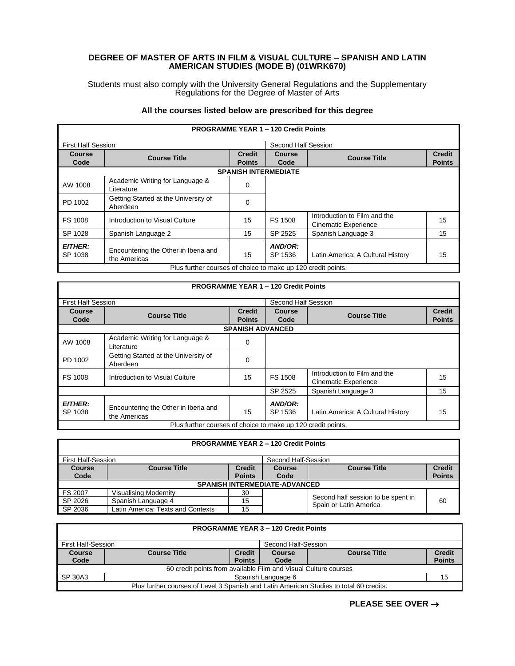## **DEGREE OF MASTER OF ARTS IN FILM & VISUAL CULTURE – SPANISH AND LATIN AMERICAN STUDIES (MODE B) (01WRK670)**

Students must also comply with the University General Regulations and the Supplementary Regulations for the Degree of Master of Arts

## **All the courses listed below are prescribed for this degree**

ľ

| <b>PROGRAMME YEAR 1 - 120 Credit Points</b>                  |                                                      |               |                     |                                                             |               |
|--------------------------------------------------------------|------------------------------------------------------|---------------|---------------------|-------------------------------------------------------------|---------------|
| <b>First Half Session</b>                                    |                                                      |               | Second Half Session |                                                             |               |
| Course                                                       | <b>Course Title</b>                                  | <b>Credit</b> | Course              | <b>Course Title</b>                                         | <b>Credit</b> |
| Code                                                         |                                                      | <b>Points</b> | Code                |                                                             | <b>Points</b> |
| <b>SPANISH INTERMEDIATE</b>                                  |                                                      |               |                     |                                                             |               |
| AW 1008                                                      | Academic Writing for Language &<br>Literature        | $\Omega$      |                     |                                                             |               |
| PD 1002                                                      | Getting Started at the University of<br>Aberdeen     | 0             |                     |                                                             |               |
| FS 1008                                                      | Introduction to Visual Culture                       | 15            | <b>FS 1508</b>      | Introduction to Film and the<br><b>Cinematic Experience</b> | 15            |
| SP 1028                                                      | Spanish Language 2                                   | 15            | SP 2525             | Spanish Language 3                                          | 15            |
| <b>EITHER:</b><br>SP 1038                                    | Encountering the Other in Iberia and<br>the Americas | 15            | AND/OR:<br>SP 1536  | Latin America: A Cultural History                           | 15            |
| Plus further courses of choice to make up 120 credit points. |                                                      |               |                     |                                                             |               |

|                           |                                                              |                         | <b>PROGRAMME YEAR 1 - 120 Credit Points</b> |                                                             |               |
|---------------------------|--------------------------------------------------------------|-------------------------|---------------------------------------------|-------------------------------------------------------------|---------------|
| <b>First Half Session</b> |                                                              |                         | Second Half Session                         |                                                             |               |
| Course                    | <b>Course Title</b>                                          | <b>Credit</b><br>Course |                                             | <b>Course Title</b>                                         | <b>Credit</b> |
| Code                      |                                                              | <b>Points</b>           | Code                                        |                                                             | <b>Points</b> |
|                           |                                                              | <b>SPANISH ADVANCED</b> |                                             |                                                             |               |
| AW 1008                   | Academic Writing for Language &<br>Literature                | $\Omega$                |                                             |                                                             |               |
| PD 1002                   | Getting Started at the University of<br>Aberdeen             | $\Omega$                |                                             |                                                             |               |
| <b>FS 1008</b>            | Introduction to Visual Culture                               | 15                      | <b>FS 1508</b>                              | Introduction to Film and the<br><b>Cinematic Experience</b> | 15            |
|                           |                                                              |                         | SP 2525                                     | Spanish Language 3                                          | 15            |
| <b>EITHER:</b><br>SP 1038 | Encountering the Other in Iberia and<br>the Americas         | 15                      | AND/OR:<br>SP 1536                          | Latin America: A Cultural History                           | 15            |
|                           | Plus further courses of choice to make up 120 credit points. |                         |                                             |                                                             |               |

| <b>PROGRAMME YEAR 2 - 120 Credit Points</b> |                                           |               |               |                                                              |               |
|---------------------------------------------|-------------------------------------------|---------------|---------------|--------------------------------------------------------------|---------------|
|                                             | First Half-Session<br>Second Half-Session |               |               |                                                              |               |
| <b>Course</b>                               | <b>Course Title</b>                       | <b>Credit</b> | <b>Course</b> | <b>Course Title</b>                                          | <b>Credit</b> |
| Code                                        |                                           | <b>Points</b> | Code          |                                                              | <b>Points</b> |
| <b>SPANISH INTERMEDIATE-ADVANCED</b>        |                                           |               |               |                                                              |               |
| <b>FS 2007</b>                              | <b>Visualising Modernity</b>              | 30            |               |                                                              |               |
| SP 2026                                     | Spanish Language 4                        | 15            |               | Second half session to be spent in<br>Spain or Latin America | 60            |
| SP 2036                                     | Latin America: Texts and Contexts         | 15            |               |                                                              |               |

| <b>PROGRAMME YEAR 3 - 120 Credit Points</b>                                             |                                                                 |               |                    |                     |               |
|-----------------------------------------------------------------------------------------|-----------------------------------------------------------------|---------------|--------------------|---------------------|---------------|
|                                                                                         | Second Half-Session<br>First Half-Session                       |               |                    |                     |               |
| <b>Course</b>                                                                           | <b>Course Title</b>                                             | <b>Credit</b> | Course             | <b>Course Title</b> | <b>Credit</b> |
| Code                                                                                    |                                                                 | <b>Points</b> | Code               |                     | <b>Points</b> |
|                                                                                         | 60 credit points from available Film and Visual Culture courses |               |                    |                     |               |
| SP 30A3                                                                                 |                                                                 |               | Spanish Language 6 |                     | 15            |
| Plus further courses of Level 3 Spanish and Latin American Studies to total 60 credits. |                                                                 |               |                    |                     |               |

## **PLEASE SEE OVER** →